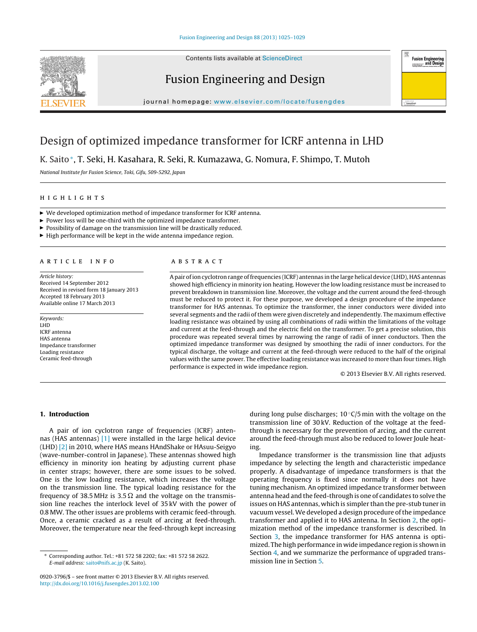

## Fusion Engineering and Design



journal homepage: [www.elsevier.com/locate/fusengdes](http://www.elsevier.com/locate/fusengdes)

## Design of optimized impedance transformer for ICRF antenna in LHD

K. Saito∗, T. Seki, H. Kasahara, R. Seki, R. Kumazawa, G. Nomura, F. Shimpo, T. Mutoh

National Institute for Fusion Science, Toki, Gifu, 509-5292, Japan

- $\blacktriangleright$  We developed optimization method of impedance transformer for ICRF antenna.
- $\blacktriangleright$  Power loss will be one-third with the optimized impedance transformer.
- $\blacktriangleright$  Possibility of damage on the transmission line will be drastically reduced.
- $\blacktriangleright$  High performance will be kept in the wide antenna impedance region.

Article history: Received 14 September 2012 Received in revised form 18 January 2013 Accepted 18 February 2013 Available online 17 March 2013

Keywords: LHD ICRF antenna HAS antenna Impedance transformer Loading resistance Ceramic feed-through

### **ABSTRACT**

Apair ofion cyclotron range offrequencies (ICRF) antennas in the large helical device (LHD), HAS antennas showed high efficiency in minority ion heating. However the low loading resistance must be increased to prevent breakdown in transmission line. Moreover, the voltage and the current around the feed-through must be reduced to protect it. For these purpose, we developed a design procedure of the impedance transformer for HAS antennas. To optimize the transformer, the inner conductors were divided into several segments and the radii of them were given discretely and independently. The maximum effective loading resistance was obtained by using all combinations of radii within the limitations of the voltage and current at the feed-through and the electric field on the transformer. To get a precise solution, this procedure was repeated several times by narrowing the range of radii of inner conductors. Then the optimized impedance transformer was designed by smoothing the radii of inner conductors. For the typical discharge, the voltage and current at the feed-through were reduced to the half of the original values with the same power. The effective loading resistance was increased to more than four times. High performance is expected in wide impedance region.

© 2013 Elsevier B.V. All rights reserved.

### **1. Introduction**

A pair of ion cyclotron range of frequencies (ICRF) antennas (HAS antennas) [\[1\]](#page--1-0) were installed in the large helical device (LHD) [\[2\]](#page--1-0) in 2010, where HAS means HAndShake or HAsuu-Seigyo (wave-number-control in Japanese). These antennas showed high efficiency in minority ion heating by adjusting current phase in center straps; however, there are some issues to be solved. One is the low loading resistance, which increases the voltage on the transmission line. The typical loading resistance for the frequency of 38.5 MHz is 3.5  $\Omega$  and the voltage on the transmission line reaches the interlock level of 35 kV with the power of 0.8 MW. The other issues are problems with ceramic feed-through. Once, a ceramic cracked as a result of arcing at feed-through. Moreover, the temperature near the feed-through kept increasing

during long pulse discharges;  $10^{\circ}$ C/5 min with the voltage on the transmission line of 30 kV. Reduction of the voltage at the feedthrough is necessary for the prevention of arcing, and the current around the feed-through must also be reduced to lower Joule heating.

Impedance transformer is the transmission line that adjusts impedance by selecting the length and characteristic impedance properly. A disadvantage of impedance transformers is that the operating frequency is fixed since normally it does not have tuning mechanism. An optimized impedance transformer between antenna head and the feed-through is one of candidates to solve the issues on HAS antennas, which is simpler than the pre-stub tuner in vacuum vessel. We developed a design procedure of the impedance transformer and applied it to HAS antenna. In Section [2,](#page-1-0) the optimization method of the impedance transformer is described. In Section [3,](#page--1-0) the impedance transformer for HAS antenna is optimized. The high performance in wide impedance region is shown in Section [4,](#page--1-0) and we summarize the performance of upgraded transmission line in Section [5.](#page--1-0)

<sup>∗</sup> Corresponding author. Tel.: +81 572 58 2202; fax: +81 572 58 2622. E-mail address: [saito@nifs.ac.jp](mailto:saito@nifs.ac.jp) (K. Saito).

<sup>0920-3796/\$</sup> – see front matter © 2013 Elsevier B.V. All rights reserved. [http://dx.doi.org/10.1016/j.fusengdes.2013.02.100](dx.doi.org/10.1016/j.fusengdes.2013.02.100)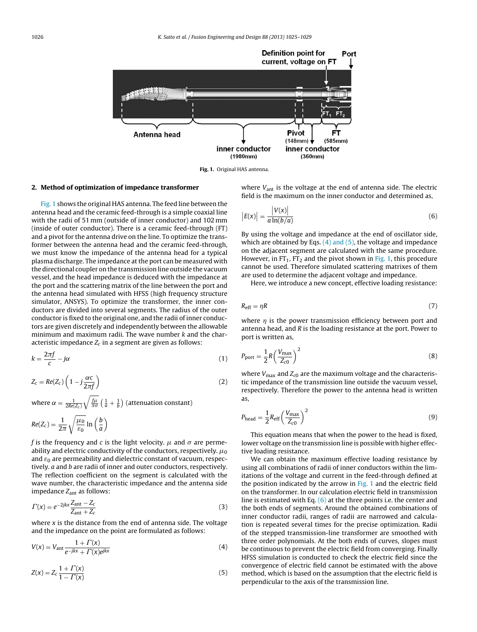<span id="page-1-0"></span>

**Fig. 1.** Original HAS antenna.

### **2. Method of optimization of impedance transformer**

Fig. 1 shows the original HAS antenna. The feed line between the antenna head and the ceramic feed-through is a simple coaxial line with the radii of 51 mm (outside of inner conductor) and 102 mm (inside of outer conductor). There is a ceramic feed-through (FT) and a pivot for the antenna drive on the line. To optimize the transformer between the antenna head and the ceramic feed-through, we must know the impedance of the antenna head for a typical plasma discharge. The impedance at the port can be measured with the directional coupler on the transmission line outside the vacuum vessel, and the head impedance is deduced with the impedance at the port and the scattering matrix of the line between the port and the antenna head simulated with HFSS (high frequency structure simulator, ANSYS). To optimize the transformer, the inner conductors are divided into several segments. The radius of the outer conductor is fixed to the original one, and the radii of inner conductors are given discretely and independently between the allowable minimum and maximum radii. The wave number  $k$  and the characteristic impedance  $Z_c$  in a segment are given as follows:

$$
k = \frac{2\pi f}{c} - j\alpha \tag{1}
$$

$$
Z_c = Re(Z_c) \left( 1 - j \frac{\alpha c}{2 \pi f} \right) \tag{2}
$$

where  $\alpha=\frac{1}{2Re(Z_c)}\sqrt{\frac{f\mu}{\pi\sigma}}\left(\frac{1}{a}+\frac{1}{b}\right)$  (attenuation constant)

$$
Re(Z_c) = \frac{1}{2\pi} \sqrt{\frac{\mu_0}{\varepsilon_0}} \ln\left(\frac{b}{a}\right)
$$

f is the frequency and c is the light velocity.  $\mu$  and  $\sigma$  are permeability and electric conductivity of the conductors, respectively.  $\mu_0$ and  $\varepsilon_0$  are permeability and dielectric constant of vacuum, respectively. a and b are radii of inner and outer conductors, respectively. The reflection coefficient on the segment is calculated with the wave number, the characteristic impedance and the antenna side impedance Zant as follows:

$$
\Gamma(x) = e^{-2jkx} \frac{Z_{\text{ant}} - Z_c}{Z_{\text{ant}} + Z_c}
$$
\n(3)

where  $x$  is the distance from the end of antenna side. The voltage and the impedance on the point are formulated as follows:

$$
V(x) = V_{\text{ant}} \frac{1 + \Gamma(x)}{e^{-jkx} + \Gamma(x)e^{jkx}}
$$
(4)

$$
Z(x) = Z_c \frac{1 + \Gamma(x)}{1 - \Gamma(x)}\tag{5}
$$

where  $V_{\text{ant}}$  is the voltage at the end of antenna side. The electric field is the maximum on the inner conductor and determined as,

$$
\left|E(x)\right| = \frac{\left|V(x)\right|}{a\ln(b/a)}\tag{6}
$$

By using the voltage and impedance at the end of oscillator side, which are obtained by Eqs.  $(4)$  and  $(5)$ , the voltage and impedance on the adjacent segment are calculated with the same procedure. However, in  $FT_1$ ,  $FT_2$  and the pivot shown in Fig. 1, this procedure cannot be used. Therefore simulated scattering matrixes of them are used to determine the adjacent voltage and impedance.

Here, we introduce a new concept, effective loading resistance:

$$
R_{\rm eff} = \eta R \tag{7}
$$

where  $\eta$  is the power transmission efficiency between port and antenna head, and R is the loading resistance at the port. Power to port is written as,

$$
P_{\text{port}} = \frac{1}{2}R\left(\frac{V_{\text{max}}}{Z_{c0}}\right)^2\tag{8}
$$

where  $V_{\text{max}}$  and  $Z_{c0}$  are the maximum voltage and the characteristic impedance of the transmission line outside the vacuum vessel, respectively. Therefore the power to the antenna head is written as,

$$
P_{\text{head}} = \frac{1}{2} R_{\text{eff}} \left( \frac{V_{\text{max}}}{Z_{\text{c}0}} \right)^2 \tag{9}
$$

This equation means that when the power to the head is fixed, lower voltage on the transmission line is possible with higher effective loading resistance.

We can obtain the maximum effective loading resistance by using all combinations of radii of inner conductors within the limitations of the voltage and current in the feed-through defined at the position indicated by the arrow in Fig. 1 and the electric field on the transformer. In our calculation electric field in transmission line is estimated with Eq.  $(6)$  at the three points i.e. the center and the both ends of segments. Around the obtained combinations of inner conductor radii, ranges of radii are narrowed and calculation is repeated several times for the precise optimization. Radii of the stepped transmission-line transformer are smoothed with three order polynomials. At the both ends of curves, slopes must be continuous to prevent the electric field from converging. Finally HFSS simulation is conducted to check the electric field since the convergence of electric field cannot be estimated with the above method, which is based on the assumption that the electric field is perpendicular to the axis of the transmission line.